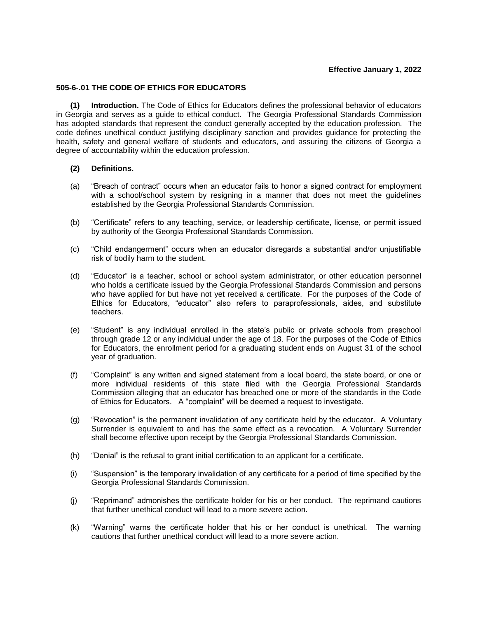## **Effective January 1, 2022**

# **505-6-.01 THE CODE OF ETHICS FOR EDUCATORS**

**(1) Introduction.** The Code of Ethics for Educators defines the professional behavior of educators in Georgia and serves as a guide to ethical conduct. The Georgia Professional Standards Commission has adopted standards that represent the conduct generally accepted by the education profession. The code defines unethical conduct justifying disciplinary sanction and provides guidance for protecting the health, safety and general welfare of students and educators, and assuring the citizens of Georgia a degree of accountability within the education profession.

### **(2) Definitions.**

- (a) "Breach of contract" occurs when an educator fails to honor a signed contract for employment with a school/school system by resigning in a manner that does not meet the guidelines established by the Georgia Professional Standards Commission.
- (b) "Certificate" refers to any teaching, service, or leadership certificate, license, or permit issued by authority of the Georgia Professional Standards Commission.
- (c) "Child endangerment" occurs when an educator disregards a substantial and/or unjustifiable risk of bodily harm to the student.
- (d) "Educator" is a teacher, school or school system administrator, or other education personnel who holds a certificate issued by the Georgia Professional Standards Commission and persons who have applied for but have not yet received a certificate. For the purposes of the Code of Ethics for Educators, "educator" also refers to paraprofessionals, aides, and substitute teachers.
- (e) "Student" is any individual enrolled in the state's public or private schools from preschool through grade 12 or any individual under the age of 18. For the purposes of the Code of Ethics for Educators, the enrollment period for a graduating student ends on August 31 of the school year of graduation.
- (f) "Complaint" is any written and signed statement from a local board, the state board, or one or more individual residents of this state filed with the Georgia Professional Standards Commission alleging that an educator has breached one or more of the standards in the Code of Ethics for Educators. A "complaint" will be deemed a request to investigate.
- (g) "Revocation" is the permanent invalidation of any certificate held by the educator. A Voluntary Surrender is equivalent to and has the same effect as a revocation. A Voluntary Surrender shall become effective upon receipt by the Georgia Professional Standards Commission.
- (h) "Denial" is the refusal to grant initial certification to an applicant for a certificate.
- (i) "Suspension" is the temporary invalidation of any certificate for a period of time specified by the Georgia Professional Standards Commission.
- (j) "Reprimand" admonishes the certificate holder for his or her conduct. The reprimand cautions that further unethical conduct will lead to a more severe action.
- (k) "Warning" warns the certificate holder that his or her conduct is unethical. The warning cautions that further unethical conduct will lead to a more severe action.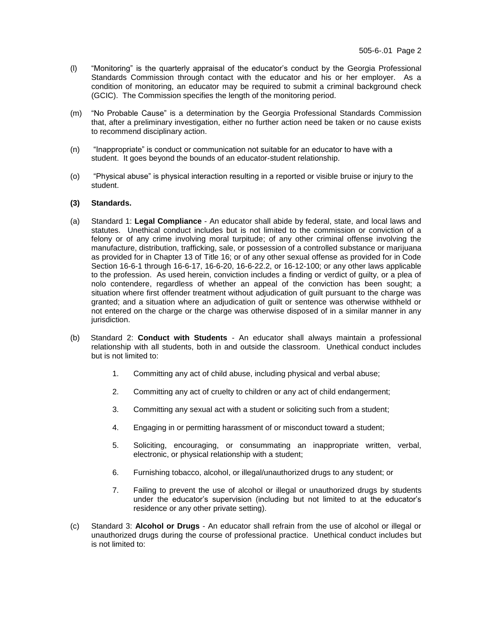- (l) "Monitoring" is the quarterly appraisal of the educator's conduct by the Georgia Professional Standards Commission through contact with the educator and his or her employer. As a condition of monitoring, an educator may be required to submit a criminal background check (GCIC). The Commission specifies the length of the monitoring period.
- (m) "No Probable Cause" is a determination by the Georgia Professional Standards Commission that, after a preliminary investigation, either no further action need be taken or no cause exists to recommend disciplinary action.
- (n) "Inappropriate" is conduct or communication not suitable for an educator to have with a student. It goes beyond the bounds of an educator-student relationship.
- (o) "Physical abuse" is physical interaction resulting in a reported or visible bruise or injury to the student.

#### **(3) Standards.**

- (a) Standard 1: **Legal Compliance** An educator shall abide by federal, state, and local laws and statutes. Unethical conduct includes but is not limited to the commission or conviction of a felony or of any crime involving moral turpitude; of any other criminal offense involving the manufacture, distribution, trafficking, sale, or possession of a controlled substance or marijuana as provided for in Chapter 13 of Title 16; or of any other sexual offense as provided for in Code Section 16-6-1 through 16-6-17, 16-6-20, 16-6-22.2, or 16-12-100; or any other laws applicable to the profession. As used herein, conviction includes a finding or verdict of guilty, or a plea of nolo contendere, regardless of whether an appeal of the conviction has been sought; a situation where first offender treatment without adjudication of guilt pursuant to the charge was granted; and a situation where an adjudication of guilt or sentence was otherwise withheld or not entered on the charge or the charge was otherwise disposed of in a similar manner in any jurisdiction.
- (b) Standard 2: **Conduct with Students** An educator shall always maintain a professional relationship with all students, both in and outside the classroom. Unethical conduct includes but is not limited to:
	- 1. Committing any act of child abuse, including physical and verbal abuse;
	- 2. Committing any act of cruelty to children or any act of child endangerment;
	- 3. Committing any sexual act with a student or soliciting such from a student;
	- 4. Engaging in or permitting harassment of or misconduct toward a student;
	- 5. Soliciting, encouraging, or consummating an inappropriate written, verbal, electronic, or physical relationship with a student;
	- 6. Furnishing tobacco, alcohol, or illegal/unauthorized drugs to any student; or
	- 7. Failing to prevent the use of alcohol or illegal or unauthorized drugs by students under the educator's supervision (including but not limited to at the educator's residence or any other private setting).
- (c) Standard 3: **Alcohol or Drugs** An educator shall refrain from the use of alcohol or illegal or unauthorized drugs during the course of professional practice. Unethical conduct includes but is not limited to: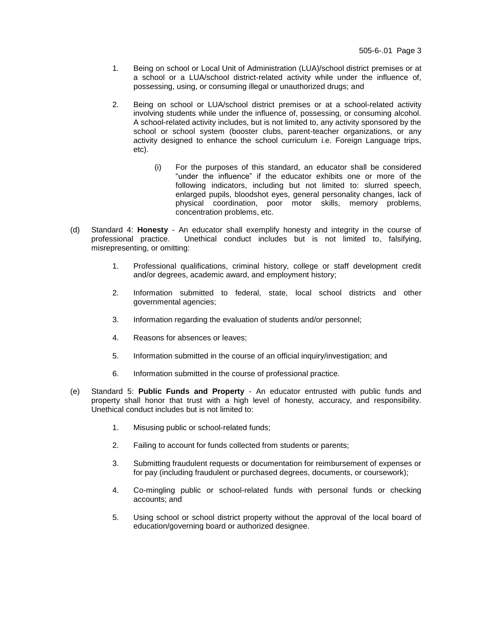- 1. Being on school or Local Unit of Administration (LUA)/school district premises or at a school or a LUA/school district-related activity while under the influence of, possessing, using, or consuming illegal or unauthorized drugs; and
- 2. Being on school or LUA/school district premises or at a school-related activity involving students while under the influence of, possessing, or consuming alcohol. A school-related activity includes, but is not limited to, any activity sponsored by the school or school system (booster clubs, parent-teacher organizations, or any activity designed to enhance the school curriculum i.e. Foreign Language trips, etc).
	- (i) For the purposes of this standard, an educator shall be considered "under the influence" if the educator exhibits one or more of the following indicators, including but not limited to: slurred speech, enlarged pupils, bloodshot eyes, general personality changes, lack of physical coordination, poor motor skills, memory problems, concentration problems, etc.
- (d) Standard 4: **Honesty** An educator shall exemplify honesty and integrity in the course of professional practice. Unethical conduct includes but is not limited to, falsifying, misrepresenting, or omitting:
	- 1. Professional qualifications, criminal history, college or staff development credit and/or degrees, academic award, and employment history;
	- 2. Information submitted to federal, state, local school districts and other governmental agencies;
	- 3. Information regarding the evaluation of students and/or personnel;
	- 4. Reasons for absences or leaves;
	- 5. Information submitted in the course of an official inquiry/investigation; and
	- 6. Information submitted in the course of professional practice.
- (e) Standard 5: **Public Funds and Property** An educator entrusted with public funds and property shall honor that trust with a high level of honesty, accuracy, and responsibility. Unethical conduct includes but is not limited to:
	- 1. Misusing public or school-related funds;
	- 2. Failing to account for funds collected from students or parents;
	- 3. Submitting fraudulent requests or documentation for reimbursement of expenses or for pay (including fraudulent or purchased degrees, documents, or coursework);
	- 4. Co-mingling public or school-related funds with personal funds or checking accounts; and
	- 5. Using school or school district property without the approval of the local board of education/governing board or authorized designee.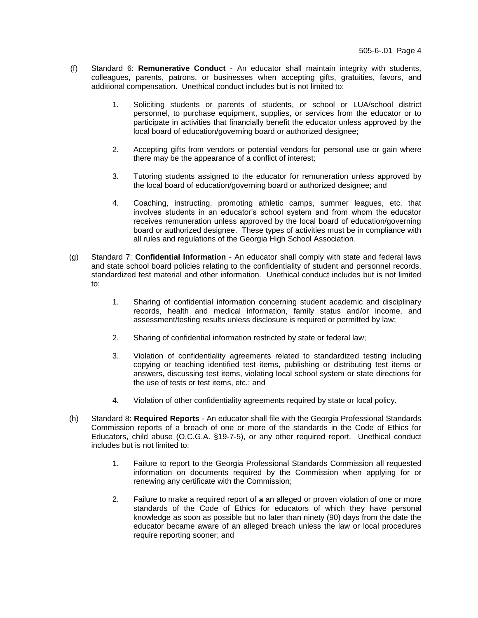- (f) Standard 6: **Remunerative Conduct** An educator shall maintain integrity with students, colleagues, parents, patrons, or businesses when accepting gifts, gratuities, favors, and additional compensation. Unethical conduct includes but is not limited to:
	- 1. Soliciting students or parents of students, or school or LUA/school district personnel, to purchase equipment, supplies, or services from the educator or to participate in activities that financially benefit the educator unless approved by the local board of education/governing board or authorized designee;
	- 2. Accepting gifts from vendors or potential vendors for personal use or gain where there may be the appearance of a conflict of interest;
	- 3. Tutoring students assigned to the educator for remuneration unless approved by the local board of education/governing board or authorized designee; and
	- 4. Coaching, instructing, promoting athletic camps, summer leagues, etc. that involves students in an educator's school system and from whom the educator receives remuneration unless approved by the local board of education/governing board or authorized designee. These types of activities must be in compliance with all rules and regulations of the Georgia High School Association.
- (g) Standard 7: **Confidential Information** An educator shall comply with state and federal laws and state school board policies relating to the confidentiality of student and personnel records, standardized test material and other information. Unethical conduct includes but is not limited to:
	- 1. Sharing of confidential information concerning student academic and disciplinary records, health and medical information, family status and/or income, and assessment/testing results unless disclosure is required or permitted by law;
	- 2. Sharing of confidential information restricted by state or federal law;
	- 3. Violation of confidentiality agreements related to standardized testing including copying or teaching identified test items, publishing or distributing test items or answers, discussing test items, violating local school system or state directions for the use of tests or test items, etc.; and
	- 4. Violation of other confidentiality agreements required by state or local policy.
- (h) Standard 8: **Required Reports** An educator shall file with the Georgia Professional Standards Commission reports of a breach of one or more of the standards in the Code of Ethics for Educators, child abuse (O.C.G.A. §19-7-5), or any other required report. Unethical conduct includes but is not limited to:
	- 1. Failure to report to the Georgia Professional Standards Commission all requested information on documents required by the Commission when applying for or renewing any certificate with the Commission;
	- 2. Failure to make a required report of a an alleged or proven violation of one or more standards of the Code of Ethics for educators of which they have personal knowledge as soon as possible but no later than ninety (90) days from the date the educator became aware of an alleged breach unless the law or local procedures require reporting sooner; and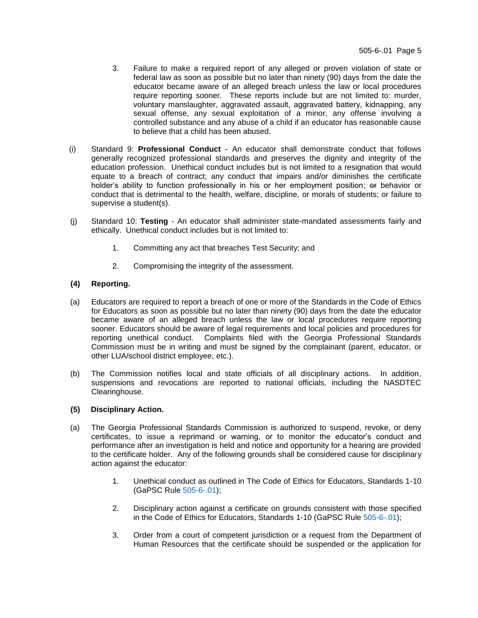- 3. Failure to make a required report of any alleged or proven violation of state or federal law as soon as possible but no later than ninety (90) days from the date the educator became aware of an alleged breach unless the law or local procedures require reporting sooner. These reports include but are not limited to: murder, voluntary manslaughter, aggravated assault, aggravated battery, kidnapping, any sexual offense, any sexual exploitation of a minor, any offense involving a controlled substance and any abuse of a child if an educator has reasonable cause to believe that a child has been abused.
- (i) Standard 9: **Professional Conduct** An educator shall demonstrate conduct that follows generally recognized professional standards and preserves the dignity and integrity of the education profession. Unethical conduct includes but is not limited to a resignation that would equate to a breach of contract; any conduct that impairs and/or diminishes the certificate holder's ability to function professionally in his or her employment position; or behavior or conduct that is detrimental to the health, welfare, discipline, or morals of students; or failure to supervise a student(s).
- (j) Standard 10: **Testing** An educator shall administer state-mandated assessments fairly and ethically. Unethical conduct includes but is not limited to:
	- 1. Committing any act that breaches Test Security; and
	- 2. Compromising the integrity of the assessment.

## **(4) Reporting.**

- (a) Educators are required to report a breach of one or more of the Standards in the Code of Ethics for Educators as soon as possible but no later than ninety (90) days from the date the educator became aware of an alleged breach unless the law or local procedures require reporting sooner. Educators should be aware of legal requirements and local policies and procedures for reporting unethical conduct. Complaints filed with the Georgia Professional Standards Commission must be in writing and must be signed by the complainant (parent, educator, or other LUA/school district employee, etc.).
- (b) The Commission notifies local and state officials of all disciplinary actions. In addition, suspensions and revocations are reported to national officials, including the NASDTEC Clearinghouse.

### **(5) Disciplinary Action.**

- (a) The Georgia Professional Standards Commission is authorized to suspend, revoke, or deny certificates, to issue a reprimand or warning, or to monitor the educator's conduct and performance after an investigation is held and notice and opportunity for a hearing are provided to the certificate holder. Any of the following grounds shall be considered cause for disciplinary action against the educator:
	- 1. Unethical conduct as outlined in The Code of Ethics for Educators, Standards 1-10 (GaPSC Rule [505-6-.01\)](https://www.gapsc.com/Rules/Current/Ethics/505-6-.01.pdf);
	- 2. Disciplinary action against a certificate on grounds consistent with those specified in the Code of Ethics for Educators, Standards 1-10 (GaPSC Rule [505-6-.01\)](https://www.gapsc.com/Rules/Current/Ethics/505-6-.01.pdf);
	- 3. Order from a court of competent jurisdiction or a request from the Department of Human Resources that the certificate should be suspended or the application for